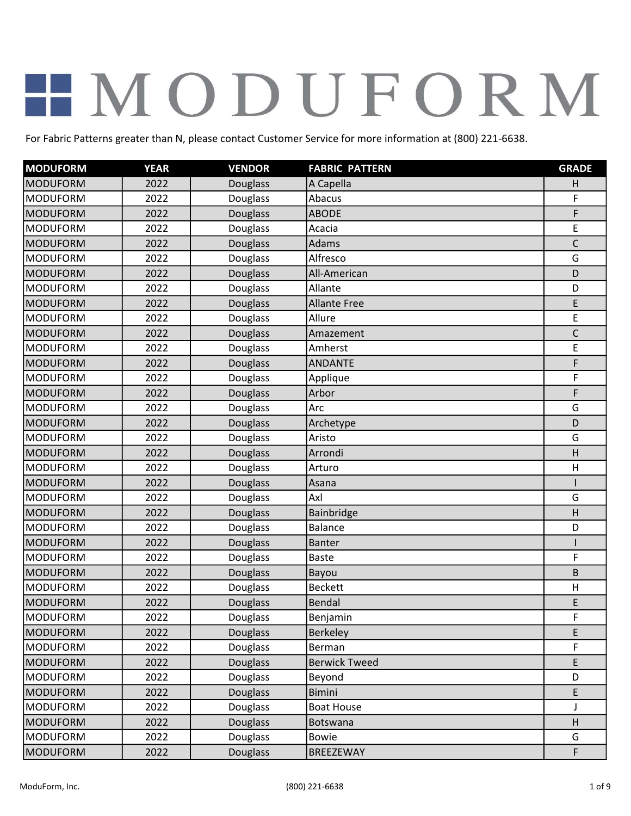| <b>MODUFORM</b> | <b>YEAR</b> | <b>VENDOR</b>   | <b>FABRIC PATTERN</b> | <b>GRADE</b> |
|-----------------|-------------|-----------------|-----------------------|--------------|
| <b>MODUFORM</b> | 2022        | Douglass        | A Capella             | н            |
| <b>MODUFORM</b> | 2022        | Douglass        | Abacus                | F            |
| <b>MODUFORM</b> | 2022        | <b>Douglass</b> | <b>ABODE</b>          | F            |
| <b>MODUFORM</b> | 2022        | Douglass        | Acacia                | E            |
| <b>MODUFORM</b> | 2022        | Douglass        | Adams                 | $\mathsf C$  |
| <b>MODUFORM</b> | 2022        | Douglass        | Alfresco              | G            |
| <b>MODUFORM</b> | 2022        | <b>Douglass</b> | All-American          | D            |
| <b>MODUFORM</b> | 2022        | Douglass        | Allante               | D            |
| <b>MODUFORM</b> | 2022        | <b>Douglass</b> | <b>Allante Free</b>   | E            |
| <b>MODUFORM</b> | 2022        | Douglass        | Allure                | E            |
| <b>MODUFORM</b> | 2022        | Douglass        | Amazement             | $\mathsf C$  |
| <b>MODUFORM</b> | 2022        | Douglass        | Amherst               | E            |
| <b>MODUFORM</b> | 2022        | <b>Douglass</b> | <b>ANDANTE</b>        | F            |
| MODUFORM        | 2022        | Douglass        | Applique              | F            |
| <b>MODUFORM</b> | 2022        | <b>Douglass</b> | Arbor                 | F            |
| <b>MODUFORM</b> | 2022        | Douglass        | Arc                   | G            |
| <b>MODUFORM</b> | 2022        | Douglass        | Archetype             | D            |
| <b>MODUFORM</b> | 2022        | Douglass        | Aristo                | G            |
| <b>MODUFORM</b> | 2022        | <b>Douglass</b> | Arrondi               | H            |
| <b>MODUFORM</b> | 2022        | Douglass        | Arturo                | H            |
| <b>MODUFORM</b> | 2022        | Douglass        | Asana                 |              |
| <b>MODUFORM</b> | 2022        | Douglass        | Axl                   | G            |
| <b>MODUFORM</b> | 2022        | Douglass        | Bainbridge            | H            |
| <b>MODUFORM</b> | 2022        | Douglass        | <b>Balance</b>        | D            |
| <b>MODUFORM</b> | 2022        | <b>Douglass</b> | <b>Banter</b>         |              |
| <b>MODUFORM</b> | 2022        | Douglass        | <b>Baste</b>          | F            |
| <b>MODUFORM</b> | 2022        | <b>Douglass</b> | Bayou                 | B            |
| <b>MODUFORM</b> | 2022        | Douglass        | <b>Beckett</b>        | H            |
| <b>MODUFORM</b> | 2022        | <b>Douglass</b> | <b>Bendal</b>         | E            |
| <b>MODUFORM</b> | 2022        | <b>Douglass</b> | Benjamin              | F            |
| MODUFORM        | 2022        | <b>Douglass</b> | <b>Berkeley</b>       | E            |
| <b>MODUFORM</b> | 2022        | Douglass        | Berman                | F            |
| <b>MODUFORM</b> | 2022        | Douglass        | <b>Berwick Tweed</b>  | E            |
| <b>MODUFORM</b> | 2022        | Douglass        | Beyond                | D            |
| <b>MODUFORM</b> | 2022        | <b>Douglass</b> | <b>Bimini</b>         | E            |
| <b>MODUFORM</b> | 2022        | Douglass        | <b>Boat House</b>     |              |
| <b>MODUFORM</b> | 2022        | <b>Douglass</b> | <b>Botswana</b>       | H            |
| <b>MODUFORM</b> | 2022        | Douglass        | <b>Bowie</b>          | G            |
| <b>MODUFORM</b> | 2022        | <b>Douglass</b> | BREEZEWAY             | F            |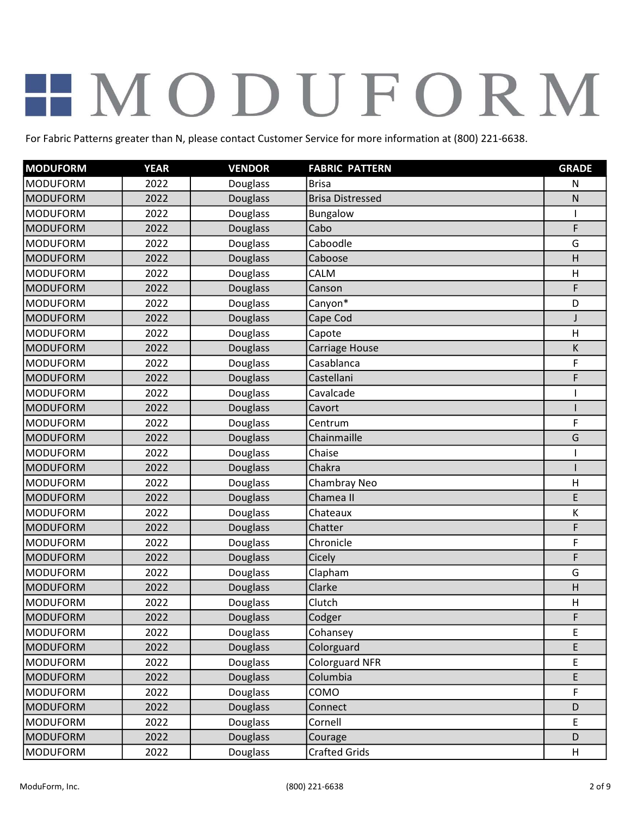| <b>MODUFORM</b> | <b>YEAR</b> | <b>VENDOR</b>   | <b>FABRIC PATTERN</b>   | <b>GRADE</b> |
|-----------------|-------------|-----------------|-------------------------|--------------|
| <b>MODUFORM</b> | 2022        | Douglass        | <b>Brisa</b>            | N            |
| <b>MODUFORM</b> | 2022        | Douglass        | <b>Brisa Distressed</b> | ${\sf N}$    |
| <b>MODUFORM</b> | 2022        | Douglass        | Bungalow                | 1            |
| <b>MODUFORM</b> | 2022        | <b>Douglass</b> | Cabo                    | F            |
| <b>MODUFORM</b> | 2022        | Douglass        | Caboodle                | G            |
| <b>MODUFORM</b> | 2022        | <b>Douglass</b> | Caboose                 | H            |
| <b>MODUFORM</b> | 2022        | Douglass        | CALM                    | H            |
| <b>MODUFORM</b> | 2022        | <b>Douglass</b> | Canson                  | F            |
| <b>MODUFORM</b> | 2022        | Douglass        | Canyon*                 | D            |
| <b>MODUFORM</b> | 2022        | Douglass        | Cape Cod                | J            |
| <b>MODUFORM</b> | 2022        | Douglass        | Capote                  | H            |
| <b>MODUFORM</b> | 2022        | Douglass        | Carriage House          | K            |
| <b>MODUFORM</b> | 2022        | Douglass        | Casablanca              | F            |
| <b>MODUFORM</b> | 2022        | Douglass        | Castellani              | F            |
| <b>MODUFORM</b> | 2022        | Douglass        | Cavalcade               |              |
| <b>MODUFORM</b> | 2022        | Douglass        | Cavort                  |              |
| MODUFORM        | 2022        | Douglass        | Centrum                 | F            |
| <b>MODUFORM</b> | 2022        | <b>Douglass</b> | Chainmaille             | G            |
| <b>MODUFORM</b> | 2022        | Douglass        | Chaise                  |              |
| <b>MODUFORM</b> | 2022        | <b>Douglass</b> | Chakra                  |              |
| <b>MODUFORM</b> | 2022        | Douglass        | Chambray Neo            | H            |
| <b>MODUFORM</b> | 2022        | <b>Douglass</b> | Chamea II               | E            |
| <b>MODUFORM</b> | 2022        | Douglass        | Chateaux                | К            |
| <b>MODUFORM</b> | 2022        | <b>Douglass</b> | Chatter                 | F            |
| <b>MODUFORM</b> | 2022        | Douglass        | Chronicle               | F            |
| <b>MODUFORM</b> | 2022        | Douglass        | Cicely                  | F            |
| <b>MODUFORM</b> | 2022        | Douglass        | Clapham                 | G            |
| <b>MODUFORM</b> | 2022        | <b>Douglass</b> | Clarke                  | H            |
| <b>MODUFORM</b> | 2022        | Douglass        | Clutch                  | $\sf H$      |
| <b>MODUFORM</b> | 2022        | <b>Douglass</b> | Codger                  | F            |
| <b>MODUFORM</b> | 2022        | Douglass        | Cohansey                | E            |
| <b>MODUFORM</b> | 2022        | <b>Douglass</b> | Colorguard              | E            |
| <b>MODUFORM</b> | 2022        | Douglass        | <b>Colorguard NFR</b>   | E            |
| <b>MODUFORM</b> | 2022        | <b>Douglass</b> | Columbia                | E            |
| <b>MODUFORM</b> | 2022        | Douglass        | COMO                    | F            |
| <b>MODUFORM</b> | 2022        | <b>Douglass</b> | Connect                 | D            |
| <b>MODUFORM</b> | 2022        | <b>Douglass</b> | Cornell                 | E            |
| <b>MODUFORM</b> | 2022        | Douglass        | Courage                 | D            |
| <b>MODUFORM</b> | 2022        | Douglass        | <b>Crafted Grids</b>    | H            |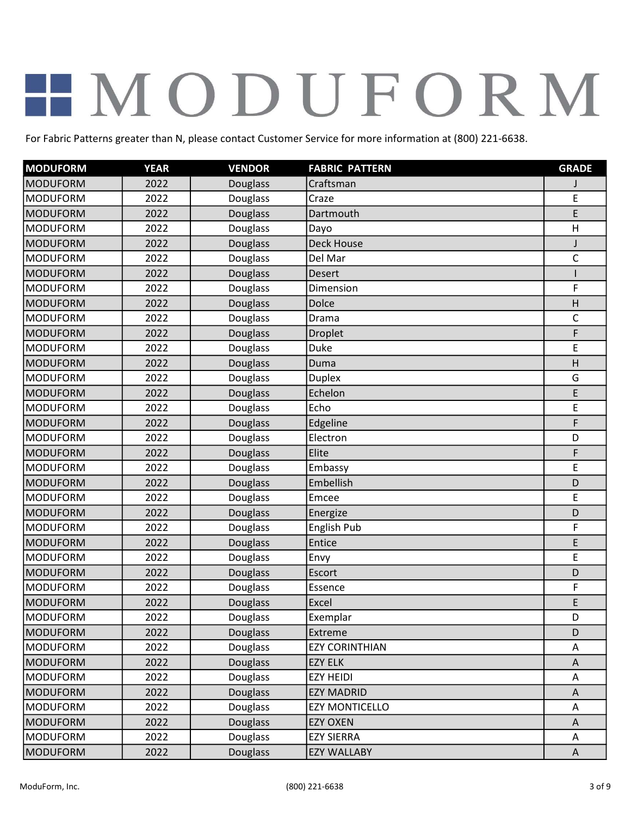| <b>MODUFORM</b> | <b>YEAR</b> | <b>VENDOR</b>   | <b>FABRIC PATTERN</b> | <b>GRADE</b> |
|-----------------|-------------|-----------------|-----------------------|--------------|
| <b>MODUFORM</b> | 2022        | Douglass        | Craftsman             |              |
| <b>MODUFORM</b> | 2022        | Douglass        | Craze                 | E            |
| <b>MODUFORM</b> | 2022        | <b>Douglass</b> | Dartmouth             | E            |
| <b>MODUFORM</b> | 2022        | Douglass        | Dayo                  | H            |
| <b>MODUFORM</b> | 2022        | Douglass        | <b>Deck House</b>     | J            |
| <b>MODUFORM</b> | 2022        | Douglass        | Del Mar               | $\mathsf C$  |
| <b>MODUFORM</b> | 2022        | <b>Douglass</b> | <b>Desert</b>         |              |
| <b>MODUFORM</b> | 2022        | Douglass        | Dimension             | F            |
| <b>MODUFORM</b> | 2022        | Douglass        | Dolce                 | H            |
| <b>MODUFORM</b> | 2022        | Douglass        | Drama                 | $\mathsf C$  |
| <b>MODUFORM</b> | 2022        | Douglass        | Droplet               | F            |
| <b>MODUFORM</b> | 2022        | Douglass        | Duke                  | E            |
| <b>MODUFORM</b> | 2022        | Douglass        | Duma                  | H            |
| <b>MODUFORM</b> | 2022        | Douglass        | <b>Duplex</b>         | G            |
| <b>MODUFORM</b> | 2022        | <b>Douglass</b> | Echelon               | E            |
| <b>MODUFORM</b> | 2022        | Douglass        | Echo                  | E            |
| <b>MODUFORM</b> | 2022        | Douglass        | Edgeline              | F            |
| <b>MODUFORM</b> | 2022        | Douglass        | Electron              | D            |
| <b>MODUFORM</b> | 2022        | Douglass        | Elite                 | F            |
| <b>MODUFORM</b> | 2022        | Douglass        | Embassy               | E            |
| <b>MODUFORM</b> | 2022        | Douglass        | Embellish             | D            |
| <b>MODUFORM</b> | 2022        | Douglass        | Emcee                 | E            |
| <b>MODUFORM</b> | 2022        | Douglass        | Energize              | D            |
| <b>MODUFORM</b> | 2022        | Douglass        | English Pub           | F            |
| <b>MODUFORM</b> | 2022        | <b>Douglass</b> | Entice                | E            |
| <b>MODUFORM</b> | 2022        | Douglass        | Envy                  | E            |
| <b>MODUFORM</b> | 2022        | <b>Douglass</b> | Escort                | D            |
| <b>MODUFORM</b> | 2022        | Douglass        | Essence               | F            |
| <b>MODUFORM</b> | 2022        | <b>Douglass</b> | Excel                 | E            |
| <b>MODUFORM</b> | 2022        | <b>Douglass</b> | Exemplar              | D            |
| MODUFORM        | 2022        | <b>Douglass</b> | <b>Extreme</b>        | D            |
| <b>MODUFORM</b> | 2022        | Douglass        | <b>EZY CORINTHIAN</b> | Α            |
| <b>MODUFORM</b> | 2022        | Douglass        | <b>EZY ELK</b>        | A            |
| <b>MODUFORM</b> | 2022        | Douglass        | <b>EZY HEIDI</b>      | Α            |
| <b>MODUFORM</b> | 2022        | <b>Douglass</b> | <b>EZY MADRID</b>     | A            |
| <b>MODUFORM</b> | 2022        | Douglass        | <b>EZY MONTICELLO</b> | Α            |
| <b>MODUFORM</b> | 2022        | <b>Douglass</b> | <b>EZY OXEN</b>       | A            |
| <b>MODUFORM</b> | 2022        | <b>Douglass</b> | <b>EZY SIERRA</b>     | Α            |
| <b>MODUFORM</b> | 2022        | Douglass        | <b>EZY WALLABY</b>    | A            |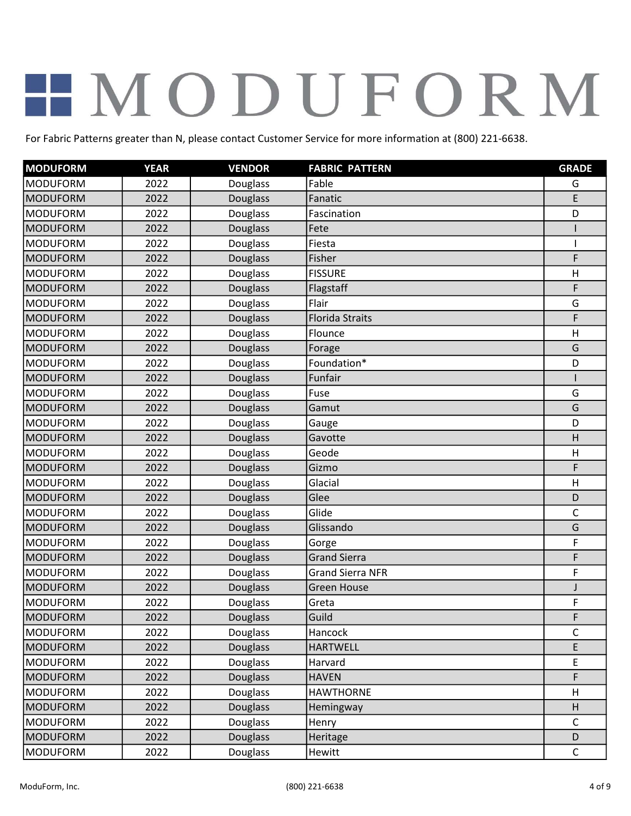| <b>MODUFORM</b> | <b>YEAR</b> | <b>VENDOR</b>   | <b>FABRIC PATTERN</b>   | <b>GRADE</b> |
|-----------------|-------------|-----------------|-------------------------|--------------|
| <b>MODUFORM</b> | 2022        | Douglass        | Fable                   | G            |
| <b>MODUFORM</b> | 2022        | Douglass        | Fanatic                 | E            |
| <b>MODUFORM</b> | 2022        | Douglass        | Fascination             | D            |
| <b>MODUFORM</b> | 2022        | <b>Douglass</b> | Fete                    |              |
| <b>MODUFORM</b> | 2022        | Douglass        | Fiesta                  |              |
| <b>MODUFORM</b> | 2022        | Douglass        | Fisher                  | F            |
| <b>MODUFORM</b> | 2022        | Douglass        | <b>FISSURE</b>          | H            |
| <b>MODUFORM</b> | 2022        | <b>Douglass</b> | Flagstaff               | F            |
| <b>MODUFORM</b> | 2022        | Douglass        | Flair                   | G            |
| <b>MODUFORM</b> | 2022        | <b>Douglass</b> | <b>Florida Straits</b>  | F            |
| <b>MODUFORM</b> | 2022        | Douglass        | Flounce                 | H            |
| <b>MODUFORM</b> | 2022        | Douglass        | Forage                  | G            |
| <b>MODUFORM</b> | 2022        | Douglass        | Foundation*             | D            |
| <b>MODUFORM</b> | 2022        | Douglass        | Funfair                 |              |
| <b>MODUFORM</b> | 2022        | Douglass        | Fuse                    | G            |
| <b>MODUFORM</b> | 2022        | Douglass        | Gamut                   | G            |
| <b>MODUFORM</b> | 2022        | Douglass        | Gauge                   | D            |
| <b>MODUFORM</b> | 2022        | <b>Douglass</b> | Gavotte                 | H            |
| <b>MODUFORM</b> | 2022        | Douglass        | Geode                   | H            |
| <b>MODUFORM</b> | 2022        | Douglass        | Gizmo                   | F            |
| <b>MODUFORM</b> | 2022        | Douglass        | Glacial                 | H            |
| <b>MODUFORM</b> | 2022        | <b>Douglass</b> | Glee                    | D            |
| <b>MODUFORM</b> | 2022        | Douglass        | Glide                   | C            |
| <b>MODUFORM</b> | 2022        | <b>Douglass</b> | Glissando               | G            |
| <b>MODUFORM</b> | 2022        | Douglass        | Gorge                   | F            |
| <b>MODUFORM</b> | 2022        | Douglass        | <b>Grand Sierra</b>     | F            |
| <b>MODUFORM</b> | 2022        | Douglass        | <b>Grand Sierra NFR</b> | F            |
| <b>MODUFORM</b> | 2022        | Douglass        | <b>Green House</b>      | J            |
| <b>MODUFORM</b> | 2022        | Douglass        | Greta                   | F            |
| MODUFORM        | 2022        | <b>Douglass</b> | Guild                   | F            |
| <b>MODUFORM</b> | 2022        | Douglass        | Hancock                 | C            |
| <b>MODUFORM</b> | 2022        | <b>Douglass</b> | <b>HARTWELL</b>         | E            |
| <b>MODUFORM</b> | 2022        | Douglass        | Harvard                 | E            |
| <b>MODUFORM</b> | 2022        | <b>Douglass</b> | <b>HAVEN</b>            | F            |
| <b>MODUFORM</b> | 2022        | Douglass        | <b>HAWTHORNE</b>        | H            |
| <b>MODUFORM</b> | 2022        | <b>Douglass</b> | Hemingway               | H            |
| <b>MODUFORM</b> | 2022        | <b>Douglass</b> | Henry                   | $\mathsf C$  |
| <b>MODUFORM</b> | 2022        | Douglass        | Heritage                | D            |
| <b>MODUFORM</b> | 2022        | Douglass        | <b>Hewitt</b>           | $\mathsf{C}$ |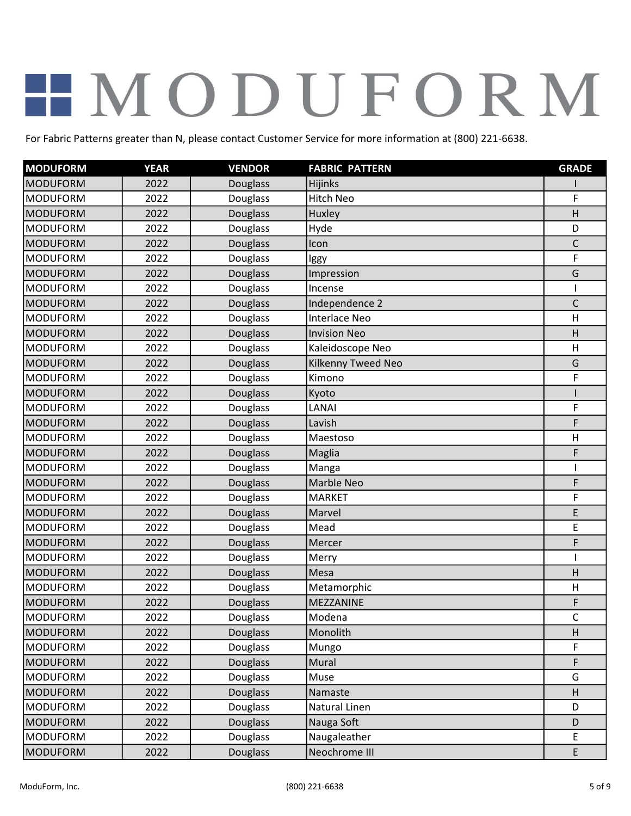| <b>MODUFORM</b> | <b>YEAR</b> | <b>VENDOR</b>   | <b>FABRIC PATTERN</b> | <b>GRADE</b> |
|-----------------|-------------|-----------------|-----------------------|--------------|
| <b>MODUFORM</b> | 2022        | Douglass        | Hijinks               |              |
| <b>MODUFORM</b> | 2022        | Douglass        | Hitch Neo             | F            |
| <b>MODUFORM</b> | 2022        | <b>Douglass</b> | Huxley                | H            |
| <b>MODUFORM</b> | 2022        | Douglass        | Hyde                  | D            |
| <b>MODUFORM</b> | 2022        | Douglass        | Icon                  | $\mathsf{C}$ |
| <b>MODUFORM</b> | 2022        | Douglass        | lggy                  | F            |
| <b>MODUFORM</b> | 2022        | Douglass        | Impression            | G            |
| <b>MODUFORM</b> | 2022        | Douglass        | Incense               |              |
| <b>MODUFORM</b> | 2022        | Douglass        | Independence 2        | $\mathsf{C}$ |
| <b>MODUFORM</b> | 2022        | Douglass        | Interlace Neo         | H            |
| <b>MODUFORM</b> | 2022        | <b>Douglass</b> | <b>Invision Neo</b>   | H            |
| <b>MODUFORM</b> | 2022        | Douglass        | Kaleidoscope Neo      | H            |
| <b>MODUFORM</b> | 2022        | Douglass        | Kilkenny Tweed Neo    | G            |
| <b>MODUFORM</b> | 2022        | Douglass        | Kimono                | F            |
| <b>MODUFORM</b> | 2022        | Douglass        | Kyoto                 |              |
| <b>MODUFORM</b> | 2022        | Douglass        | LANAI                 | F            |
| <b>MODUFORM</b> | 2022        | Douglass        | Lavish                | F            |
| <b>MODUFORM</b> | 2022        | Douglass        | Maestoso              | H            |
| <b>MODUFORM</b> | 2022        | <b>Douglass</b> | Maglia                | F            |
| <b>MODUFORM</b> | 2022        | Douglass        | Manga                 |              |
| <b>MODUFORM</b> | 2022        | Douglass        | Marble Neo            | F            |
| <b>MODUFORM</b> | 2022        | Douglass        | <b>MARKET</b>         | F            |
| <b>MODUFORM</b> | 2022        | Douglass        | Marvel                | E            |
| <b>MODUFORM</b> | 2022        | Douglass        | Mead                  | E            |
| <b>MODUFORM</b> | 2022        | <b>Douglass</b> | Mercer                | F            |
| <b>MODUFORM</b> | 2022        | Douglass        | Merry                 |              |
| <b>MODUFORM</b> | 2022        | Douglass        | Mesa                  | H            |
| <b>MODUFORM</b> | 2022        | Douglass        | Metamorphic           | H            |
| <b>MODUFORM</b> | 2022        | <b>Douglass</b> | MEZZANINE             | F            |
| <b>MODUFORM</b> | 2022        | Douglass        | Modena                | $\mathsf C$  |
| MODUFORM        | 2022        | Douglass        | Monolith              | H            |
| <b>MODUFORM</b> | 2022        | Douglass        | Mungo                 | F            |
| <b>MODUFORM</b> | 2022        | <b>Douglass</b> | Mural                 | F            |
| <b>MODUFORM</b> | 2022        | Douglass        | Muse                  | G            |
| <b>MODUFORM</b> | 2022        | <b>Douglass</b> | Namaste               | H            |
| <b>MODUFORM</b> | 2022        | Douglass        | Natural Linen         | D            |
| <b>MODUFORM</b> | 2022        | <b>Douglass</b> | Nauga Soft            | D            |
| <b>MODUFORM</b> | 2022        | Douglass        | Naugaleather          | E            |
| <b>MODUFORM</b> | 2022        | <b>Douglass</b> | Neochrome III         | E            |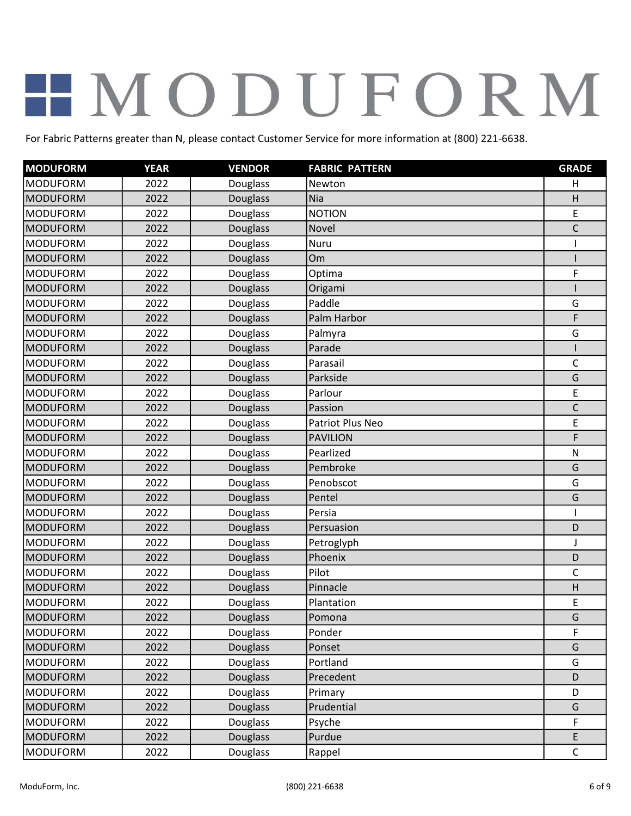| <b>MODUFORM</b> | <b>YEAR</b> | <b>VENDOR</b>   | <b>FABRIC PATTERN</b> | <b>GRADE</b> |
|-----------------|-------------|-----------------|-----------------------|--------------|
| <b>MODUFORM</b> | 2022        | Douglass        | Newton                | H            |
| <b>MODUFORM</b> | 2022        | Douglass        | Nia                   | H            |
| <b>MODUFORM</b> | 2022        | Douglass        | <b>NOTION</b>         | E            |
| <b>MODUFORM</b> | 2022        | <b>Douglass</b> | Novel                 | $\mathsf C$  |
| <b>MODUFORM</b> | 2022        | Douglass        | Nuru                  |              |
| <b>MODUFORM</b> | 2022        | Douglass        | Om                    |              |
| <b>MODUFORM</b> | 2022        | Douglass        | Optima                | F            |
| <b>MODUFORM</b> | 2022        | <b>Douglass</b> | Origami               |              |
| <b>MODUFORM</b> | 2022        | Douglass        | Paddle                | G            |
| <b>MODUFORM</b> | 2022        | <b>Douglass</b> | Palm Harbor           | F            |
| <b>MODUFORM</b> | 2022        | Douglass        | Palmyra               | G            |
| <b>MODUFORM</b> | 2022        | Douglass        | Parade                |              |
| <b>MODUFORM</b> | 2022        | Douglass        | Parasail              | $\mathsf C$  |
| <b>MODUFORM</b> | 2022        | Douglass        | Parkside              | G            |
| <b>MODUFORM</b> | 2022        | Douglass        | Parlour               | E            |
| <b>MODUFORM</b> | 2022        | Douglass        | Passion               | $\mathsf C$  |
| <b>MODUFORM</b> | 2022        | Douglass        | Patriot Plus Neo      | E            |
| <b>MODUFORM</b> | 2022        | <b>Douglass</b> | <b>PAVILION</b>       | F            |
| <b>MODUFORM</b> | 2022        | Douglass        | Pearlized             | $\mathsf{N}$ |
| <b>MODUFORM</b> | 2022        | Douglass        | Pembroke              | G            |
| <b>MODUFORM</b> | 2022        | Douglass        | Penobscot             | G            |
| <b>MODUFORM</b> | 2022        | <b>Douglass</b> | Pentel                | G            |
| <b>MODUFORM</b> | 2022        | Douglass        | Persia                |              |
| <b>MODUFORM</b> | 2022        | <b>Douglass</b> | Persuasion            | D            |
| <b>MODUFORM</b> | 2022        | Douglass        | Petroglyph            | J            |
| <b>MODUFORM</b> | 2022        | Douglass        | Phoenix               | D            |
| <b>MODUFORM</b> | 2022        | Douglass        | Pilot                 | $\mathsf{C}$ |
| <b>MODUFORM</b> | 2022        | Douglass        | Pinnacle              | H            |
| <b>MODUFORM</b> | 2022        | Douglass        | Plantation            | E            |
| <b>MODUFORM</b> | 2022        | Douglass        | Pomona                | G            |
| <b>MODUFORM</b> | 2022        | Douglass        | Ponder                | F            |
| <b>MODUFORM</b> | 2022        | <b>Douglass</b> | Ponset                | G            |
| <b>MODUFORM</b> | 2022        | Douglass        | Portland              | G            |
| <b>MODUFORM</b> | 2022        | <b>Douglass</b> | Precedent             | D            |
| <b>MODUFORM</b> | 2022        | Douglass        | Primary               | D            |
| <b>MODUFORM</b> | 2022        | <b>Douglass</b> | Prudential            | G            |
| <b>MODUFORM</b> | 2022        | Douglass        | Psyche                | F            |
| <b>MODUFORM</b> | 2022        | Douglass        | Purdue                | E            |
| <b>MODUFORM</b> | 2022        | Douglass        | Rappel                | $\mathsf{C}$ |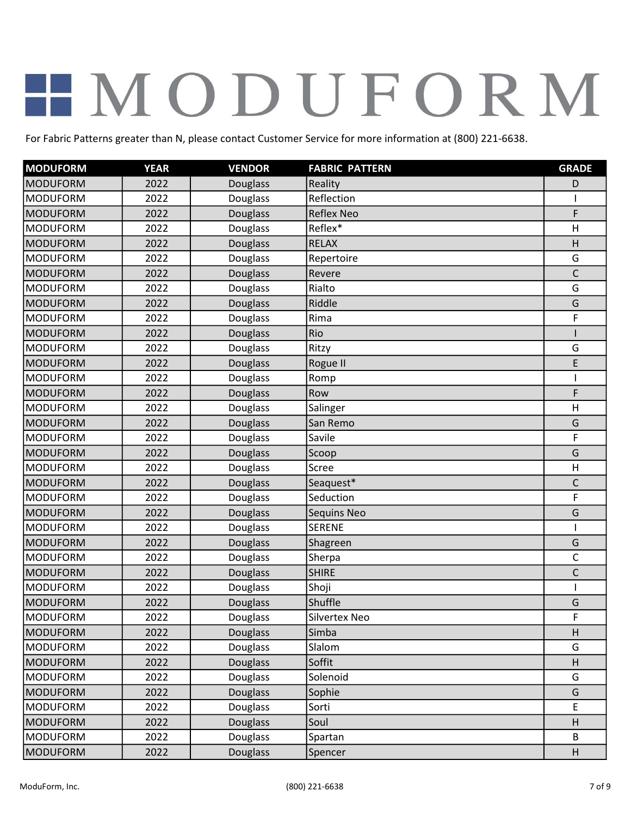| <b>MODUFORM</b> | <b>YEAR</b> | <b>VENDOR</b>   | <b>FABRIC PATTERN</b> | <b>GRADE</b> |
|-----------------|-------------|-----------------|-----------------------|--------------|
| <b>MODUFORM</b> | 2022        | Douglass        | Reality               | D            |
| <b>MODUFORM</b> | 2022        | Douglass        | Reflection            |              |
| <b>MODUFORM</b> | 2022        | <b>Douglass</b> | <b>Reflex Neo</b>     | F            |
| <b>MODUFORM</b> | 2022        | Douglass        | Reflex*               | H            |
| <b>MODUFORM</b> | 2022        | Douglass        | <b>RELAX</b>          | H            |
| <b>MODUFORM</b> | 2022        | Douglass        | Repertoire            | G            |
| <b>MODUFORM</b> | 2022        | <b>Douglass</b> | Revere                | $\mathsf C$  |
| <b>MODUFORM</b> | 2022        | Douglass        | Rialto                | G            |
| <b>MODUFORM</b> | 2022        | Douglass        | Riddle                | G            |
| <b>MODUFORM</b> | 2022        | Douglass        | Rima                  | F            |
| <b>MODUFORM</b> | 2022        | Douglass        | Rio                   |              |
| <b>MODUFORM</b> | 2022        | Douglass        | Ritzy                 | G            |
| <b>MODUFORM</b> | 2022        | <b>Douglass</b> | Rogue II              | E            |
| <b>MODUFORM</b> | 2022        | Douglass        | Romp                  |              |
| <b>MODUFORM</b> | 2022        | <b>Douglass</b> | Row                   | F            |
| <b>MODUFORM</b> | 2022        | Douglass        | Salinger              | H            |
| <b>MODUFORM</b> | 2022        | Douglass        | San Remo              | G            |
| <b>MODUFORM</b> | 2022        | Douglass        | Savile                | F            |
| <b>MODUFORM</b> | 2022        | Douglass        | Scoop                 | G            |
| <b>MODUFORM</b> | 2022        | Douglass        | Scree                 | H            |
| <b>MODUFORM</b> | 2022        | Douglass        | Seaguest*             | $\mathsf C$  |
| <b>MODUFORM</b> | 2022        | Douglass        | Seduction             | F            |
| <b>MODUFORM</b> | 2022        | Douglass        | <b>Sequins Neo</b>    | G            |
| <b>MODUFORM</b> | 2022        | Douglass        | <b>SERENE</b>         |              |
| <b>MODUFORM</b> | 2022        | <b>Douglass</b> | Shagreen              | G            |
| <b>MODUFORM</b> | 2022        | Douglass        | Sherpa                | $\mathsf C$  |
| <b>MODUFORM</b> | 2022        | <b>Douglass</b> | <b>SHIRE</b>          | $\mathsf{C}$ |
| <b>MODUFORM</b> | 2022        | Douglass        | Shoji                 |              |
| <b>MODUFORM</b> | 2022        | <b>Douglass</b> | Shuffle               | G            |
| <b>MODUFORM</b> | 2022        | <b>Douglass</b> | Silvertex Neo         | F            |
| MODUFORM        | 2022        | Douglass        | Simba                 | H            |
| <b>MODUFORM</b> | 2022        | Douglass        | Slalom                | G            |
| <b>MODUFORM</b> | 2022        | Douglass        | Soffit                | H            |
| <b>MODUFORM</b> | 2022        | Douglass        | Solenoid              | G            |
| <b>MODUFORM</b> | 2022        | <b>Douglass</b> | Sophie                | G            |
| <b>MODUFORM</b> | 2022        | Douglass        | Sorti                 | E            |
| <b>MODUFORM</b> | 2022        | <b>Douglass</b> | Soul                  | $\sf H$      |
| <b>MODUFORM</b> | 2022        | Douglass        | Spartan               | B            |
| <b>MODUFORM</b> | 2022        | <b>Douglass</b> | Spencer               | H            |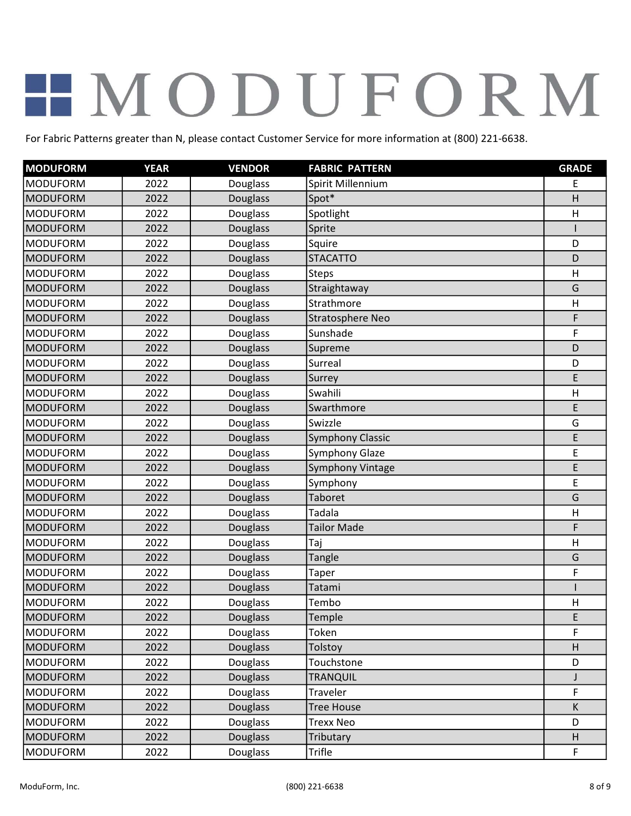| <b>MODUFORM</b> | <b>YEAR</b> | <b>VENDOR</b>   | <b>FABRIC PATTERN</b>   | <b>GRADE</b> |
|-----------------|-------------|-----------------|-------------------------|--------------|
| <b>MODUFORM</b> | 2022        | Douglass        | Spirit Millennium       | E            |
| <b>MODUFORM</b> | 2022        | Douglass        | Spot*                   | H            |
| <b>MODUFORM</b> | 2022        | Douglass        | Spotlight               | H            |
| <b>MODUFORM</b> | 2022        | <b>Douglass</b> | Sprite                  |              |
| <b>MODUFORM</b> | 2022        | Douglass        | Squire                  | D            |
| <b>MODUFORM</b> | 2022        | Douglass        | <b>STACATTO</b>         | D            |
| <b>MODUFORM</b> | 2022        | Douglass        | <b>Steps</b>            | H            |
| <b>MODUFORM</b> | 2022        | <b>Douglass</b> | Straightaway            | G            |
| <b>MODUFORM</b> | 2022        | Douglass        | Strathmore              | H            |
| <b>MODUFORM</b> | 2022        | Douglass        | Stratosphere Neo        | F            |
| <b>MODUFORM</b> | 2022        | Douglass        | Sunshade                | F            |
| <b>MODUFORM</b> | 2022        | Douglass        | Supreme                 | D            |
| <b>MODUFORM</b> | 2022        | Douglass        | Surreal                 | D            |
| <b>MODUFORM</b> | 2022        | Douglass        | Surrey                  | E            |
| <b>MODUFORM</b> | 2022        | Douglass        | Swahili                 | H            |
| <b>MODUFORM</b> | 2022        | Douglass        | Swarthmore              | E            |
| <b>MODUFORM</b> | 2022        | Douglass        | Swizzle                 | G            |
| <b>MODUFORM</b> | 2022        | <b>Douglass</b> | <b>Symphony Classic</b> | E            |
| <b>MODUFORM</b> | 2022        | Douglass        | Symphony Glaze          | E            |
| <b>MODUFORM</b> | 2022        | <b>Douglass</b> | Symphony Vintage        | E            |
| <b>MODUFORM</b> | 2022        | Douglass        | Symphony                | E            |
| <b>MODUFORM</b> | 2022        | <b>Douglass</b> | Taboret                 | G            |
| <b>MODUFORM</b> | 2022        | Douglass        | Tadala                  | H            |
| <b>MODUFORM</b> | 2022        | <b>Douglass</b> | <b>Tailor Made</b>      | F            |
| <b>MODUFORM</b> | 2022        | Douglass        | Taj                     | H            |
| <b>MODUFORM</b> | 2022        | Douglass        | Tangle                  | G            |
| <b>MODUFORM</b> | 2022        | Douglass        | <b>Taper</b>            | F            |
| <b>MODUFORM</b> | 2022        | <b>Douglass</b> | Tatami                  |              |
| <b>MODUFORM</b> | 2022        | Douglass        | Tembo                   | $\mathsf{H}$ |
| <b>MODUFORM</b> | 2022        | Douglass        | Temple                  | E            |
| <b>MODUFORM</b> | 2022        | Douglass        | Token                   | F            |
| <b>MODUFORM</b> | 2022        | Douglass        | Tolstoy                 | H            |
| <b>MODUFORM</b> | 2022        | Douglass        | Touchstone              | D            |
| <b>MODUFORM</b> | 2022        | <b>Douglass</b> | <b>TRANQUIL</b>         | J            |
| <b>MODUFORM</b> | 2022        | Douglass        | Traveler                | F            |
| <b>MODUFORM</b> | 2022        | <b>Douglass</b> | <b>Tree House</b>       | K            |
| <b>MODUFORM</b> | 2022        | Douglass        | <b>Trexx Neo</b>        | D            |
| <b>MODUFORM</b> | 2022        | <b>Douglass</b> | Tributary               | H            |
| <b>MODUFORM</b> | 2022        | Douglass        | Trifle                  | F            |